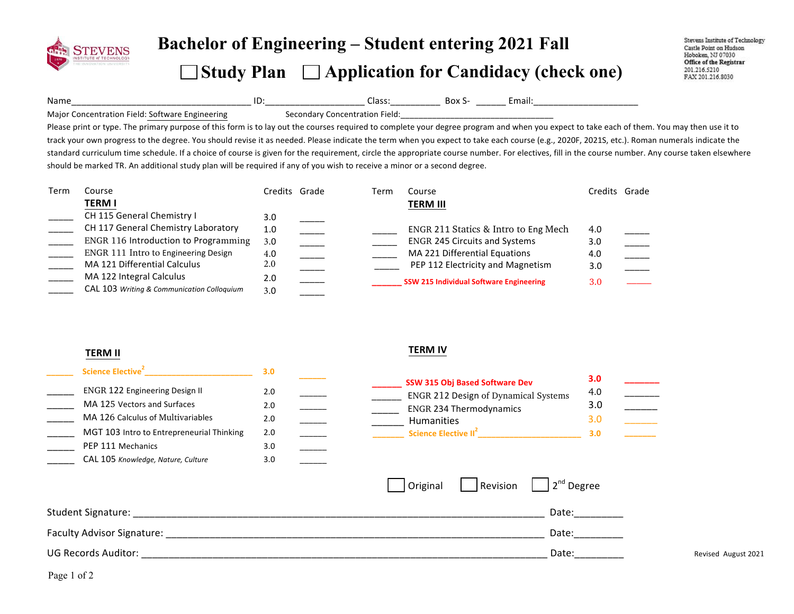

# **Bachelor of Engineering – Student entering <sup>20</sup><sup>21</sup> Fall Study Plan Application for Candidacy (check one)**

Stevens Institute of Technology Castle Point on Hudson Hoboken, NJ 07030 Office of the Registrar 201.216.5210 FAX 201.216.8030

Name\_\_\_\_\_\_\_\_\_\_\_\_\_\_\_\_\_\_\_\_\_\_\_\_\_\_\_\_\_\_\_\_\_\_\_\_!ID:\_\_\_\_\_\_\_\_\_\_\_\_\_\_\_\_\_\_\_\_!Class:\_\_\_\_\_\_\_\_\_\_!!Box!S- \_\_\_\_\_\_!Email:\_\_\_\_\_\_\_\_\_\_\_\_\_\_\_\_\_\_\_\_\_!

Major!Concentration!Field: Software EngineeringSecondary Concentration Field:

Please print or type. The primary purpose of this form is to lay out the courses required to complete your degree program and when you expect to take each of them. You may then use it to track your own progress to the degree. You should revise it as needed. Please indicate the term when you expect to take each course (e.g., 2020F, 2021S, etc.). Roman numerals indicate the standard curriculum time schedule. If a choice of course is given for the requirement, circle the appropriate course number. For electives, fill in the course number. Any course taken elsewhere should be marked TR. An additional study plan will be required if any of you wish to receive a minor or a second degree.

| Term | Course                                      | Credits Grade | Term | Course                                         |                  | Credits Grade |
|------|---------------------------------------------|---------------|------|------------------------------------------------|------------------|---------------|
|      | <b>TERM I</b>                               |               |      | <b>TERM III</b>                                |                  |               |
|      | CH 115 General Chemistry I                  | 3.0           |      |                                                |                  |               |
|      | CH 117 General Chemistry Laboratory         | 1.0           |      | ENGR 211 Statics & Intro to Eng Mech           | 4.0              |               |
|      | <b>ENGR 116 Introduction to Programming</b> | 3.0           |      | <b>ENGR 245 Circuits and Systems</b>           | 3.0 <sub>2</sub> |               |
|      | ENGR 111 Intro to Engineering Design        | 4.0           |      | MA 221 Differential Equations                  | 4.0              |               |
|      | MA 121 Differential Calculus                | 2.0           |      | PEP 112 Electricity and Magnetism              | 3.0              |               |
|      | MA 122 Integral Calculus                    | 2.0           |      | <b>SSW 215 Individual Software Engineering</b> | 3.0              |               |
|      | CAL 103 Writing & Communication Colloquium  | 3.0           |      |                                                |                  |               |

### **TERM%II%**

| Science Elective <sup>2</sup>             | 3.0 |  |
|-------------------------------------------|-----|--|
| <b>ENGR 122 Engineering Design II</b>     | 2.0 |  |
| MA 125 Vectors and Surfaces               | 2.0 |  |
| MA 126 Calculus of Multivariables         | 2.0 |  |
| MGT 103 Intro to Entrepreneurial Thinking | 2.0 |  |
| PEP 111 Mechanics                         | 3.0 |  |
| CAL 105 Knowledge, Nature, Culture        | 3.0 |  |
|                                           |     |  |

|                                           |     |  | <b>SSW 315 Obj Based Software Dev</b>       | 3.0 |  |
|-------------------------------------------|-----|--|---------------------------------------------|-----|--|
| <b>ENGR 122 Engineering Design II</b>     | 2.0 |  | <b>ENGR 212 Design of Dynamical Systems</b> | 4.0 |  |
| MA 125 Vectors and Surfaces               | 2.0 |  | <b>ENGR 234 Thermodynamics</b>              |     |  |
| MA 126 Calculus of Multivariables         | 2.0 |  | <b>Humanities</b>                           |     |  |
| MGT 103 Intro to Entrepreneurial Thinking | 2.0 |  | Science Elective II <sup>2</sup>            | 3.0 |  |
|                                           |     |  |                                             |     |  |

| CH 117 General Chemistry Laboratory<br><b>ENGR 116 Introduction to Programming</b><br>ENGR 111 Intro to Engineering Design<br>MA 121 Differential Calculus<br>MA 122 Integral Calculus<br>CAL 103 Writing & Communication Colloquium | 1.0<br>3.0<br>4.0<br>2.0<br>2.0<br>3.0                                                                                                                                                                                                                                                                                                                                                                                                                                                                                                           | ENGR 211 Statics & Intro to Eng Mech<br><b>ENGR 245 Circuits and Systems</b><br>MA 221 Differential Equations<br>PEP 112 Electricity and Magnetism<br><b>SSW 215 Individual Software Engineering</b> | 4.0<br>3.0<br>4.0<br>3.0<br>3.0                                                                                                                                                                                                                                                                                                                                                                                            |                     |
|--------------------------------------------------------------------------------------------------------------------------------------------------------------------------------------------------------------------------------------|--------------------------------------------------------------------------------------------------------------------------------------------------------------------------------------------------------------------------------------------------------------------------------------------------------------------------------------------------------------------------------------------------------------------------------------------------------------------------------------------------------------------------------------------------|------------------------------------------------------------------------------------------------------------------------------------------------------------------------------------------------------|----------------------------------------------------------------------------------------------------------------------------------------------------------------------------------------------------------------------------------------------------------------------------------------------------------------------------------------------------------------------------------------------------------------------------|---------------------|
| <b>TERM II</b>                                                                                                                                                                                                                       |                                                                                                                                                                                                                                                                                                                                                                                                                                                                                                                                                  | <b>TERM IV</b>                                                                                                                                                                                       |                                                                                                                                                                                                                                                                                                                                                                                                                            |                     |
| ENGR 122 Engineering Design II<br>MA 125 Vectors and Surfaces<br>MA 126 Calculus of Multivariables<br>MGT 103 Intro to Entrepreneurial Thinking<br>PEP 111 Mechanics<br>CAL 105 Knowledge, Nature, Culture                           | 3.0<br>2.0<br>2.0<br>$\begin{tabular}{c} \multicolumn{2}{c} {\textbf{1}} & \multicolumn{2}{c} {\textbf{1}} & \multicolumn{2}{c} {\textbf{1}} \\ \multicolumn{2}{c} {\textbf{1}} & \multicolumn{2}{c} {\textbf{1}} & \multicolumn{2}{c} {\textbf{1}} \\ \multicolumn{2}{c} {\textbf{1}} & \multicolumn{2}{c} {\textbf{1}} & \multicolumn{2}{c} {\textbf{1}} \\ \multicolumn{2}{c} {\textbf{1}} & \multicolumn{2}{c} {\textbf{1}} & \multicolumn{2}{c} {\textbf{1}} \\ \multicolumn{2}{c} {\textbf{1}} & \multicolumn$<br>2.0<br>2.0<br>3.0<br>3.0 | SSW 315 Obj Based Software Dev<br><b>ENGR 212 Design of Dynamical Systems</b><br><b>ENGR 234 Thermodynamics</b><br>Humanities                                                                        | 3.0<br>$\begin{tabular}{ c c c } \hline \quad \quad & \quad \quad & \quad \quad \\ \hline \quad \quad & \quad \quad & \quad \quad \\ \hline \quad \quad & \quad \quad & \quad \quad \\ \hline \quad \quad & \quad \quad & \quad \quad \\ \hline \quad \quad & \quad \quad & \quad \quad \\ \hline \quad \quad & \quad \quad & \quad \quad \\ \hline \end{tabular}$<br>4.0<br>3.0<br>$\overline{\phantom{a}}$<br>3.0<br>3.0 |                     |
|                                                                                                                                                                                                                                      |                                                                                                                                                                                                                                                                                                                                                                                                                                                                                                                                                  | Revision<br>Original                                                                                                                                                                                 | 2 <sup>nd</sup> Degree                                                                                                                                                                                                                                                                                                                                                                                                     |                     |
|                                                                                                                                                                                                                                      |                                                                                                                                                                                                                                                                                                                                                                                                                                                                                                                                                  | Date:                                                                                                                                                                                                |                                                                                                                                                                                                                                                                                                                                                                                                                            |                     |
|                                                                                                                                                                                                                                      |                                                                                                                                                                                                                                                                                                                                                                                                                                                                                                                                                  |                                                                                                                                                                                                      | Date:                                                                                                                                                                                                                                                                                                                                                                                                                      |                     |
|                                                                                                                                                                                                                                      |                                                                                                                                                                                                                                                                                                                                                                                                                                                                                                                                                  | Date:                                                                                                                                                                                                |                                                                                                                                                                                                                                                                                                                                                                                                                            | Revised August 2021 |
| Page 1 of 2                                                                                                                                                                                                                          |                                                                                                                                                                                                                                                                                                                                                                                                                                                                                                                                                  |                                                                                                                                                                                                      |                                                                                                                                                                                                                                                                                                                                                                                                                            |                     |